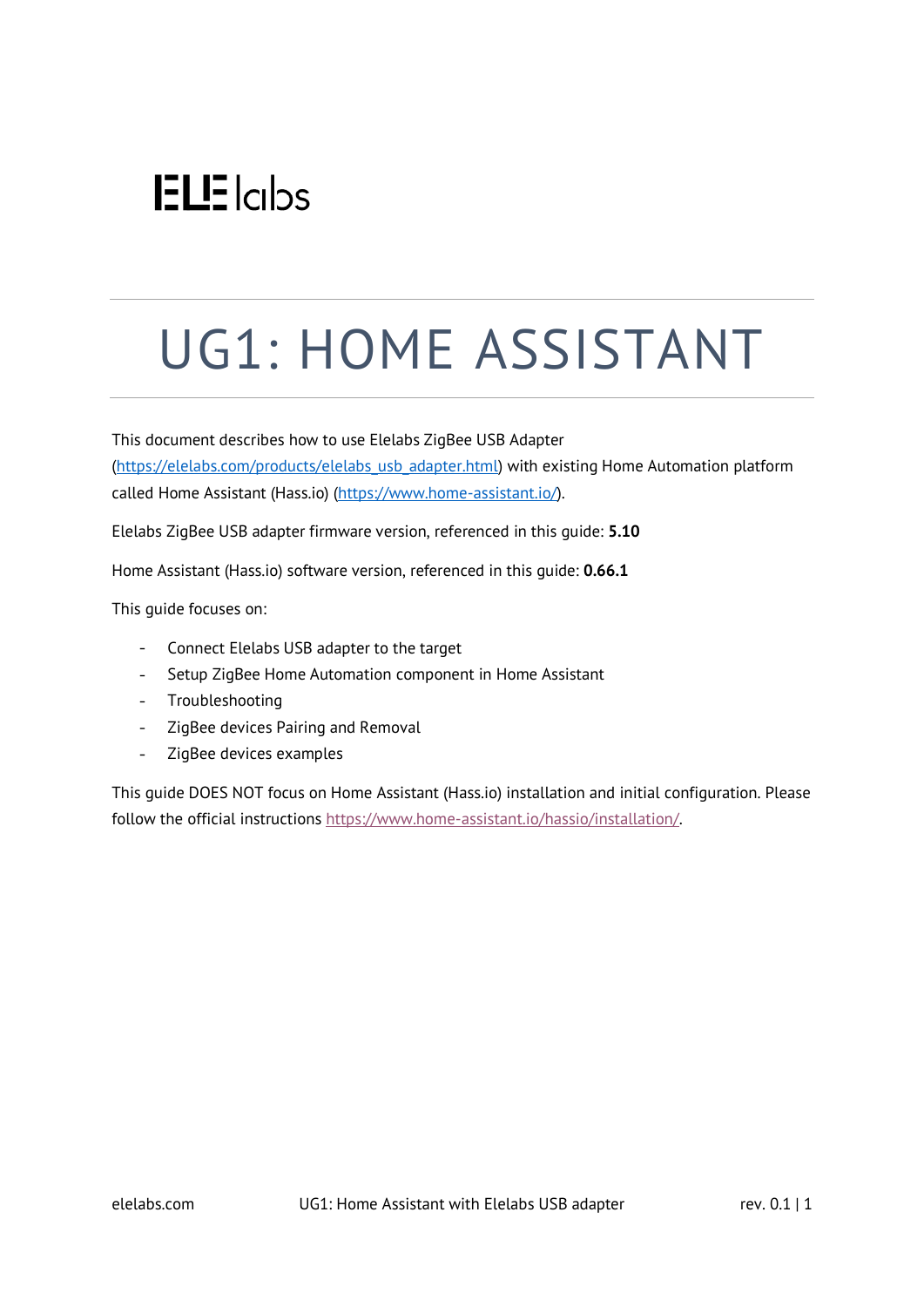## $ELE$   $|c|$

# UG1: HOME ASSISTANT

This document describes how to use Elelabs ZigBee USB Adapter [\(https://elelabs.com/products/elelabs\\_usb\\_adapter.html\)](https://elelabs.com/products/elelabs_usb_adapter.html) with existing Home Automation platform called Home Assistant (Hass.io) [\(https://www.home-assistant.io/\)](https://www.home-assistant.io/).

Elelabs ZigBee USB adapter firmware version, referenced in this guide: **5.10**

Home Assistant (Hass.io) software version, referenced in this guide: **0.66.1**

This guide focuses on:

- Connect Elelabs USB adapter to the target
- $\omega_{\rm{max}}$ Setup ZigBee Home Automation component in Home Assistant
- Troubleshooting
- ZigBee devices Pairing and Removal
- $\frac{1}{2}$  . ZigBee devices examples

This guide DOES NOT focus on Home Assistant (Hass.io) installation and initial configuration. Please follow the official instructions [https://www.home-assistant.io/hassio/installation/.](https://www.home-assistant.io/hassio/installation/)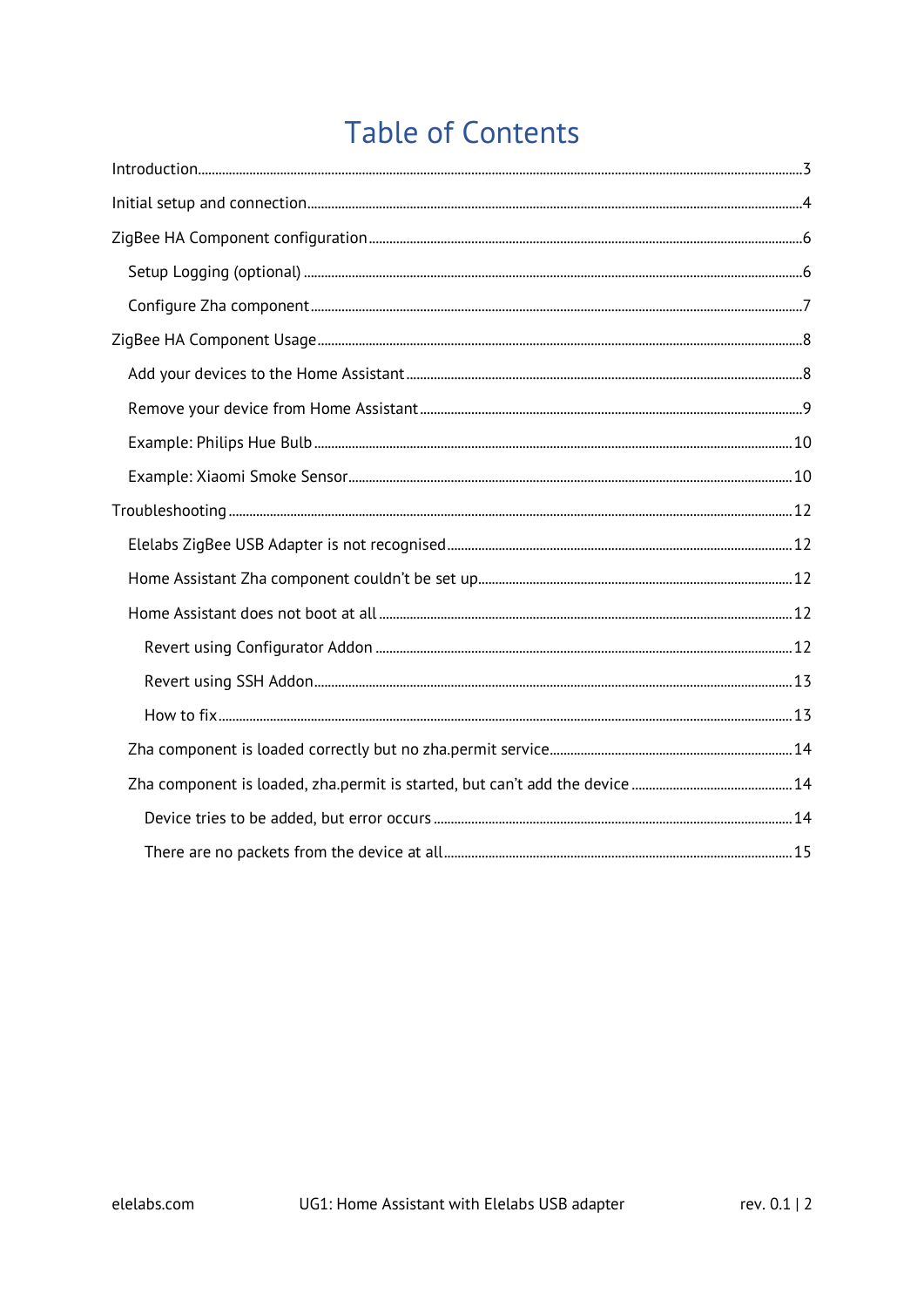### **Table of Contents**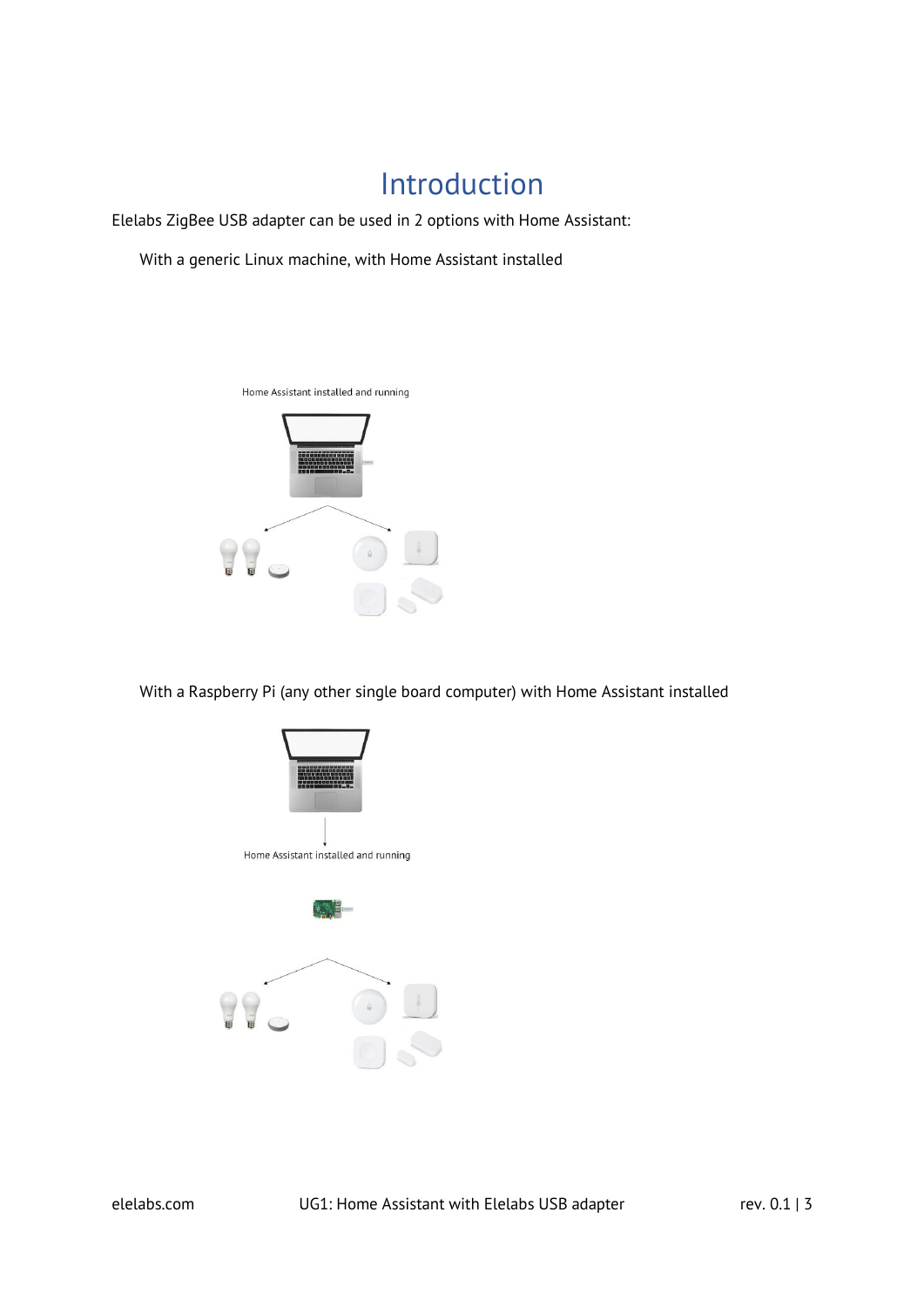### Introduction

<span id="page-2-0"></span>Elelabs ZigBee USB adapter can be used in 2 options with Home Assistant:

With a generic Linux machine, with Home Assistant installed



With a Raspberry Pi (any other single board computer) with Home Assistant installed

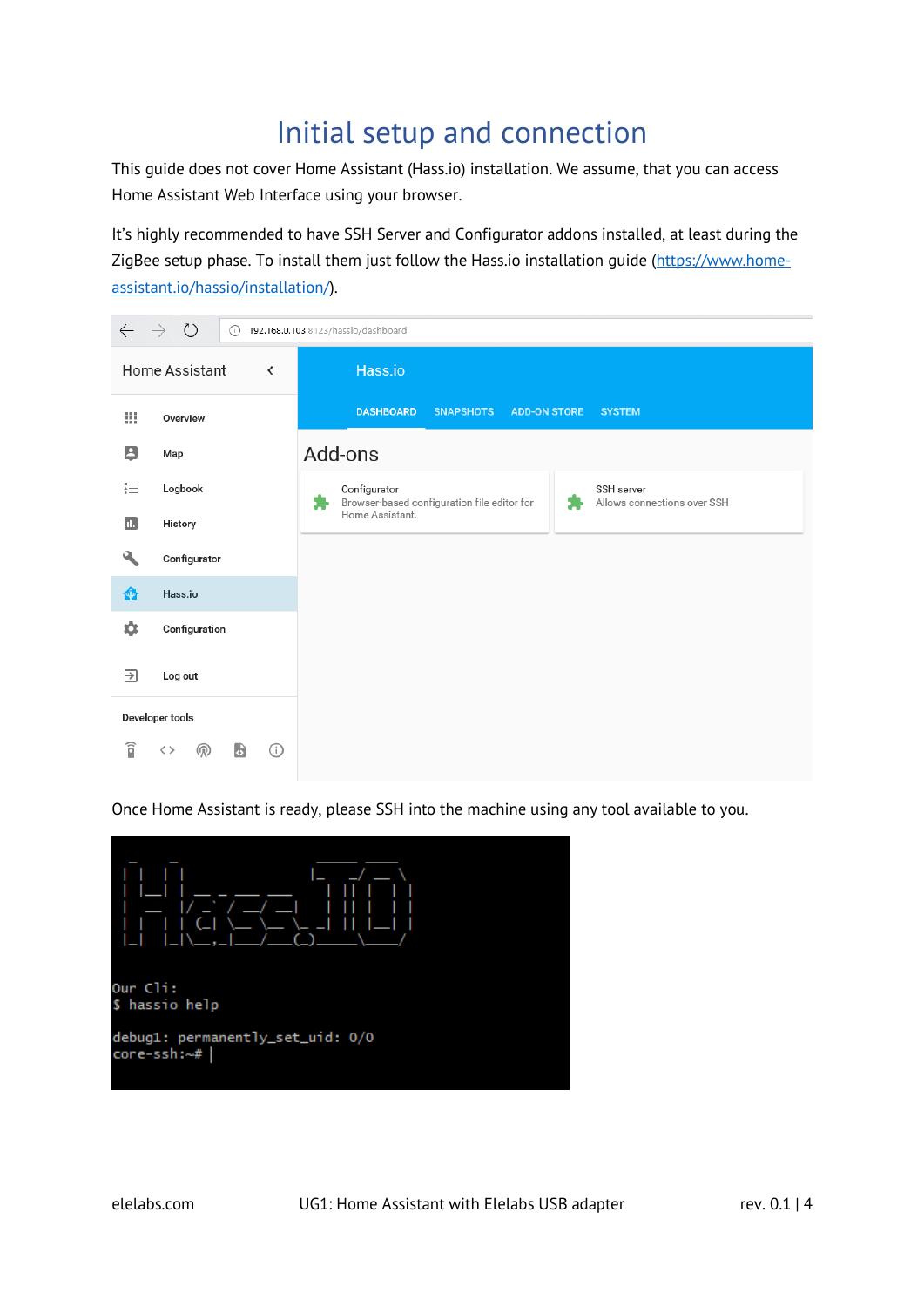### Initial setup and connection

<span id="page-3-0"></span>This guide does not cover Home Assistant (Hass.io) installation. We assume, that you can access Home Assistant Web Interface using your browser.

It's highly recommended to have SSH Server and Configurator addons installed, at least during the ZigBee setup phase. To install them just follow the Hass.io installation guide [\(https://www.home](https://www.home-assistant.io/hassio/installation/)[assistant.io/hassio/installation/\)](https://www.home-assistant.io/hassio/installation/).



Once Home Assistant is ready, please SSH into the machine using any tool available to you.

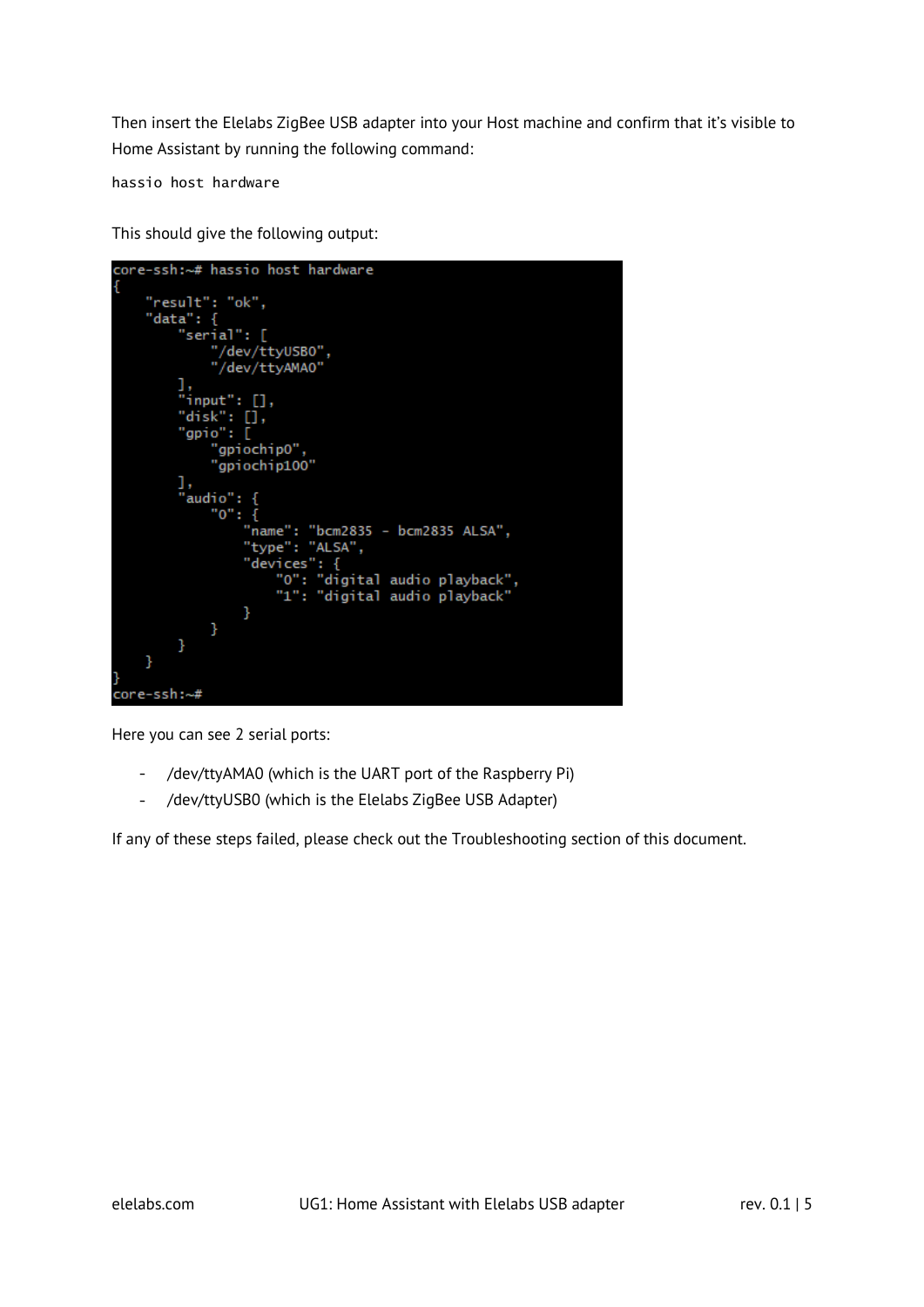Then insert the Elelabs ZigBee USB adapter into your Host machine and confirm that it's visible to Home Assistant by running the following command:

hassio host hardware

This should give the following output:

| core-ssh:~# hassio host hardware  |
|-----------------------------------|
| {                                 |
| "result": "ok",                   |
| "data": {                         |
| "serial": [                       |
| "/dev/ttyUSBO",                   |
| "/dev/ttyAMA0"                    |
| ı,                                |
| "input": $[]$ ,                   |
| "disk": $[]$ ,                    |
| "gpio": [                         |
| "gpiochip0",                      |
| "gpiochip100"                     |
|                                   |
| ı,                                |
| "audio": {                        |
| $"0":$ {                          |
| "name": "bcm2835 - bcm2835 ALSA", |
| "type": "ALSA",                   |
| "devices": {                      |
| "O": "digital audio playback",    |
| "1": "digital audio playback"     |
| ł                                 |
| }                                 |
| }                                 |
| ŀ                                 |
|                                   |
| core-ssh:~#                       |
|                                   |

Here you can see 2 serial ports:

- /dev/ttyAMA0 (which is the UART port of the Raspberry Pi)
- /dev/ttyUSB0 (which is the Elelabs ZigBee USB Adapter)

If any of these steps failed, please check out the Troubleshooting section of this document.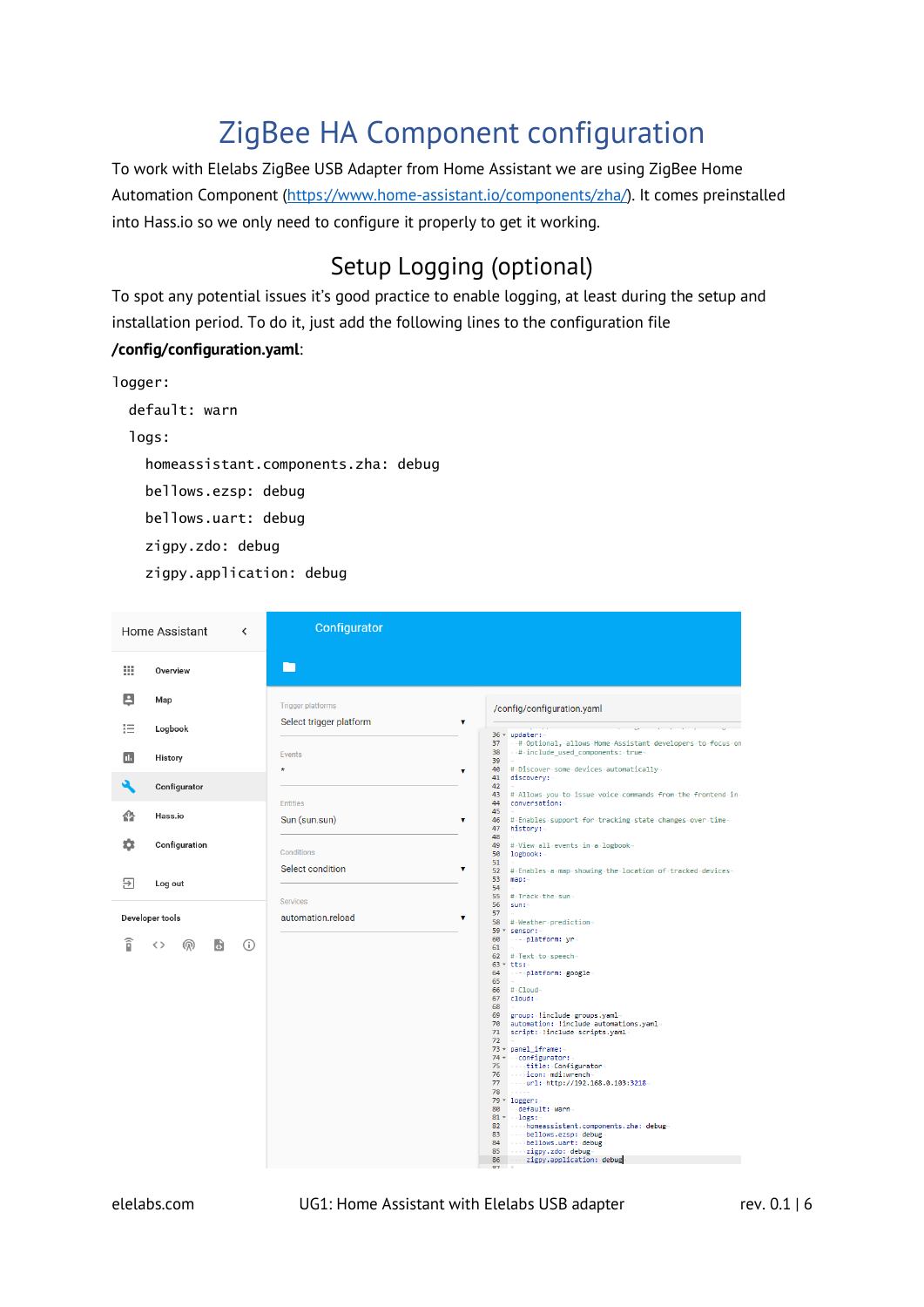### ZigBee HA Component configuration

<span id="page-5-0"></span>To work with Elelabs ZigBee USB Adapter from Home Assistant we are using ZigBee Home Automation Component [\(https://www.home-assistant.io/components/zha/\)](https://www.home-assistant.io/components/zha/). It comes preinstalled into Hass.io so we only need to configure it properly to get it working.

### Setup Logging (optional)

<span id="page-5-1"></span>To spot any potential issues it's good practice to enable logging, at least during the setup and installation period. To do it, just add the following lines to the configuration file **/config/configuration.yaml**:

```
logger:
   default: warn
   logs:
     homeassistant.components.zha: debug
     bellows.ezsp: debug
     bellows.uart: debug
     zigpy.zdo: debug
     zigpy.application: debug
```

|    | Home Assistant<br>≺           | Configurator                                                                                                                                                                                                                                                       |
|----|-------------------------------|--------------------------------------------------------------------------------------------------------------------------------------------------------------------------------------------------------------------------------------------------------------------|
| 排  | Overview                      | ٠                                                                                                                                                                                                                                                                  |
| В  | Map                           | <b>Trigger platforms</b><br>/config/configuration.yaml                                                                                                                                                                                                             |
| 拦  | Logbook                       | Select trigger platform<br>۷<br>$36 - update: -$                                                                                                                                                                                                                   |
| п. | History                       | # Optional, allows Home Assistant developers to focus on<br>37<br>38<br>- # include_used_components: true-<br>Events<br>39                                                                                                                                         |
|    | Configurator                  | # Discover some devices automatically<br>40<br>$\star$<br>۷<br>41<br>discovery:-<br>42                                                                                                                                                                             |
|    |                               | 43<br># Allows you to issue voice commands from the frontend in<br>44<br><b>Entities</b><br>conversation:-                                                                                                                                                         |
| 49 | Hass.io                       | 45<br>Sun (sun.sun)<br>46<br># Enables support for tracking state changes over time<br>۷<br>47<br>history:-                                                                                                                                                        |
| n  | Configuration                 | 48<br>49<br>#View all events in a logbook-<br>Conditions<br>50<br>logbook:<br>51                                                                                                                                                                                   |
| Э  | Log out                       | Select condition<br>۷<br>52<br># Enables a map showing the location of tracked devices-<br>53<br>map:<br>54                                                                                                                                                        |
|    |                               | 55<br># Track the sun-<br>Services<br>56<br>sum:                                                                                                                                                                                                                   |
|    | Developer tools               | 57<br>automation.reload<br>۷<br>58<br># Weather prediction<br>59 * sensor:-                                                                                                                                                                                        |
| î  | <b>a</b><br>(i)<br>く><br>(ගු) | 60<br>---- platform: yr-<br>61                                                                                                                                                                                                                                     |
|    |                               | # Text to speech-<br>62<br>$63$ $+$ tts:-                                                                                                                                                                                                                          |
|    |                               | 64<br>platform: google-<br>65                                                                                                                                                                                                                                      |
|    |                               | $66$ # $Cloud-$<br>$67$ $cloud:~$                                                                                                                                                                                                                                  |
|    |                               | 68<br>69 group: linclude groups.yaml                                                                                                                                                                                                                               |
|    |                               | 70 automation: linclude automations.yaml-<br>71 script: linclude scripts.yaml                                                                                                                                                                                      |
|    |                               | 72                                                                                                                                                                                                                                                                 |
|    |                               | 73 - panel_iframe:-<br>74 v configurator:                                                                                                                                                                                                                          |
|    |                               | title: Configurator-<br>75<br>$\cdots$ icon: $mdi:$ wrench-<br>76                                                                                                                                                                                                  |
|    |                               | 77<br>ur1: http://192.168.0.103:3218                                                                                                                                                                                                                               |
|    |                               | 78<br><b>Contractor</b><br>$79 - \loggen: -$                                                                                                                                                                                                                       |
|    |                               | 80<br>default: warn                                                                                                                                                                                                                                                |
|    |                               | $81 - logs$ :<br>82 homeassistant.components.zha: debug                                                                                                                                                                                                            |
|    |                               | bellows.ezsp: debug<br>83                                                                                                                                                                                                                                          |
|    |                               | bellows.uart: debug-<br>84<br>85<br>contract to the state of the state of the state of the state of the state of the state of the state of the state of the state of the state of the state of the state of the state of the state of the state of the state of th |
|    |                               | 86<br>zigpy.application: debug<br>87                                                                                                                                                                                                                               |

elelabs.com UG1: Home Assistant with Elelabs USB adapter rev. 0.1 | 6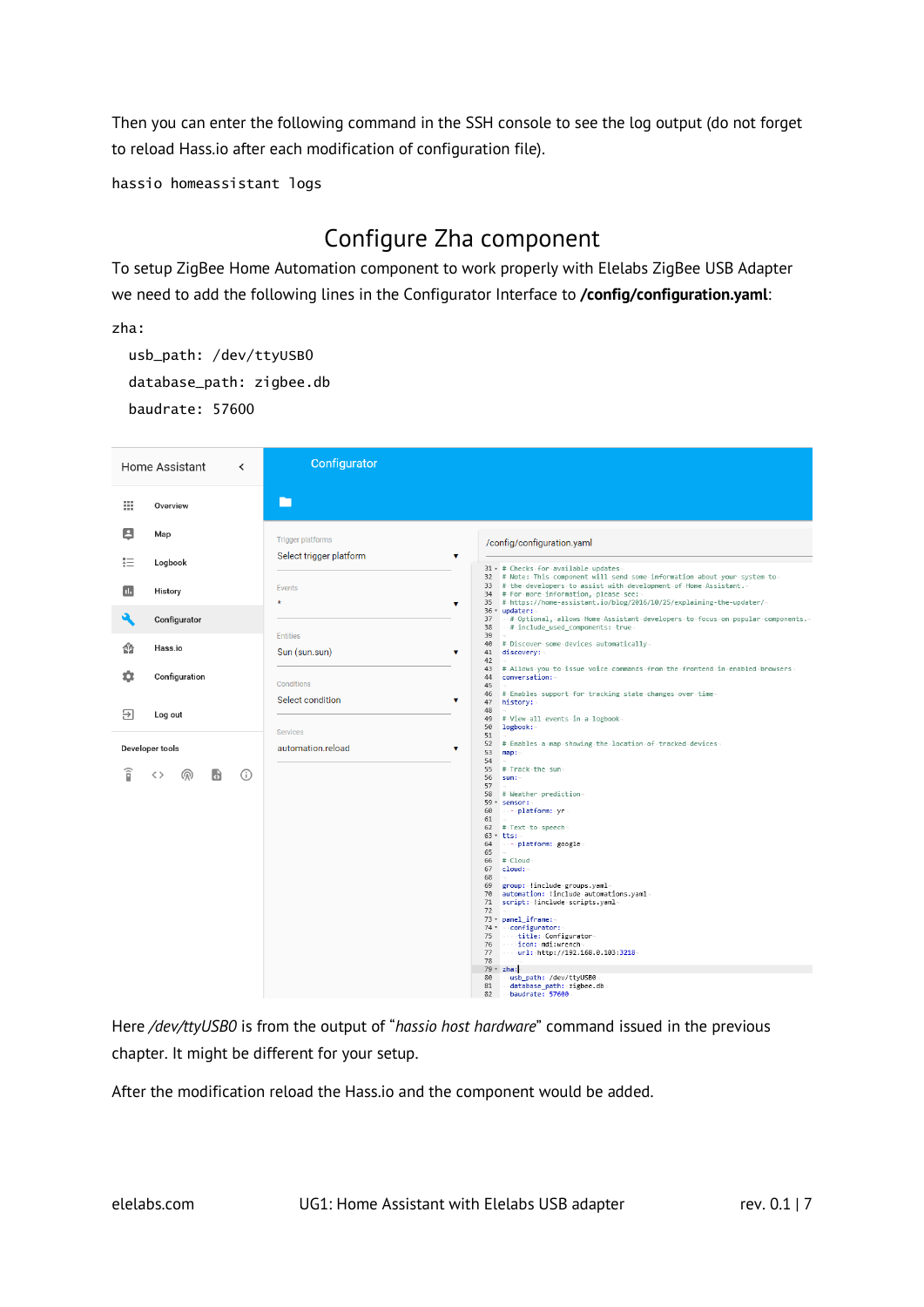Then you can enter the following command in the SSH console to see the log output (do not forget to reload Hass.io after each modification of configuration file).

hassio homeassistant logs

### Configure Zha component

<span id="page-6-0"></span>To setup ZigBee Home Automation component to work properly with Elelabs ZigBee USB Adapter we need to add the following lines in the Configurator Interface to **/config/configuration.yaml**:

zha:

 usb\_path: /dev/ttyUSB0 database\_path: zigbee.db baudrate: 57600

|    | Home Assistant<br>$\overline{\phantom{a}}$ | Configurator                                                                                                                                                                                                                                                                                                                                                                                                                                                                                                                                                                                                                           |
|----|--------------------------------------------|----------------------------------------------------------------------------------------------------------------------------------------------------------------------------------------------------------------------------------------------------------------------------------------------------------------------------------------------------------------------------------------------------------------------------------------------------------------------------------------------------------------------------------------------------------------------------------------------------------------------------------------|
| 罬  | Overview                                   | ᄗ                                                                                                                                                                                                                                                                                                                                                                                                                                                                                                                                                                                                                                      |
| 8  | Map                                        | <b>Trigger platforms</b><br>/config/configuration.yaml                                                                                                                                                                                                                                                                                                                                                                                                                                                                                                                                                                                 |
| 拒  | Logbook                                    | Select trigger platform<br>۷<br>31 - # Checks for available updates                                                                                                                                                                                                                                                                                                                                                                                                                                                                                                                                                                    |
| п. | History                                    | 32 # Note: This component will send some information about your system to<br>33 # the developers to assist with development of Home Assistant.<br>Events<br>34 # For more information, please see:<br>35 # https://home-assistant.io/blog/2016/10/25/explaining-the-updater/-<br>$\star$<br>v                                                                                                                                                                                                                                                                                                                                          |
|    | Configurator                               | 36 * updater:<br># Optional, allows Home Assistant developers to focus on popular components.<br>37<br>38<br># include_used_components: true-<br><b>Entities</b><br>39                                                                                                                                                                                                                                                                                                                                                                                                                                                                 |
| ⋒  | Hass.io                                    | 40 # Discover some devices automatically<br>Sun (sun.sun)<br>۷<br>41<br>discovery:                                                                                                                                                                                                                                                                                                                                                                                                                                                                                                                                                     |
| o  | Configuration                              | 42<br>43<br># Allows you to issue voice commands from the frontend in enabled browsers-<br>conversation:<br>44<br>Conditions<br>45<br>46                                                                                                                                                                                                                                                                                                                                                                                                                                                                                               |
| Э  | Log out                                    | # Enables support for tracking state changes over time<br>Select condition<br>v<br>47<br>history:-<br>48<br># View all events in a logbook-<br>49<br>50<br>logbook:-                                                                                                                                                                                                                                                                                                                                                                                                                                                                   |
|    | Developer tools                            | <b>Services</b><br>51<br># Enables a map showing the location of tracked devices<br>52<br>automation.reload<br>۷<br>53<br>map:                                                                                                                                                                                                                                                                                                                                                                                                                                                                                                         |
| î  | ⋒<br>⋒<br>मे<br>くゝ                         | 54<br>55<br># Track the sun-<br>56<br>sum:<br>57<br># Weather prediction-<br>58<br>59 * sensor:<br>60<br>--- platform: yr<br>61<br>62 # Text to speech-<br>$63 - tts:$<br>- - platform: google<br>64<br>65<br>$66$ # $Cloud$<br>$67$ $cloud:$<br>68<br>69 group: linclude groups.yaml<br>70 automation: !include automations.yaml<br>71 script: linclude scripts.yaml<br>72<br>73 - panel_iframe:<br>74 - configurator:<br>75  title: Configurator<br>76 icon: mdi:wrench<br>77 url: http://192.168.0.103:3218<br>78<br>---<br>$79 - zha$ :<br>80<br>usb_path: /dev/ttyUSB0<br>81<br>database_path: zigbee.db<br>82<br>baudrate: 57600 |

Here */dev/ttyUSB0* is from the output of "*hassio host hardware*" command issued in the previous chapter. It might be different for your setup.

After the modification reload the Hass.io and the component would be added.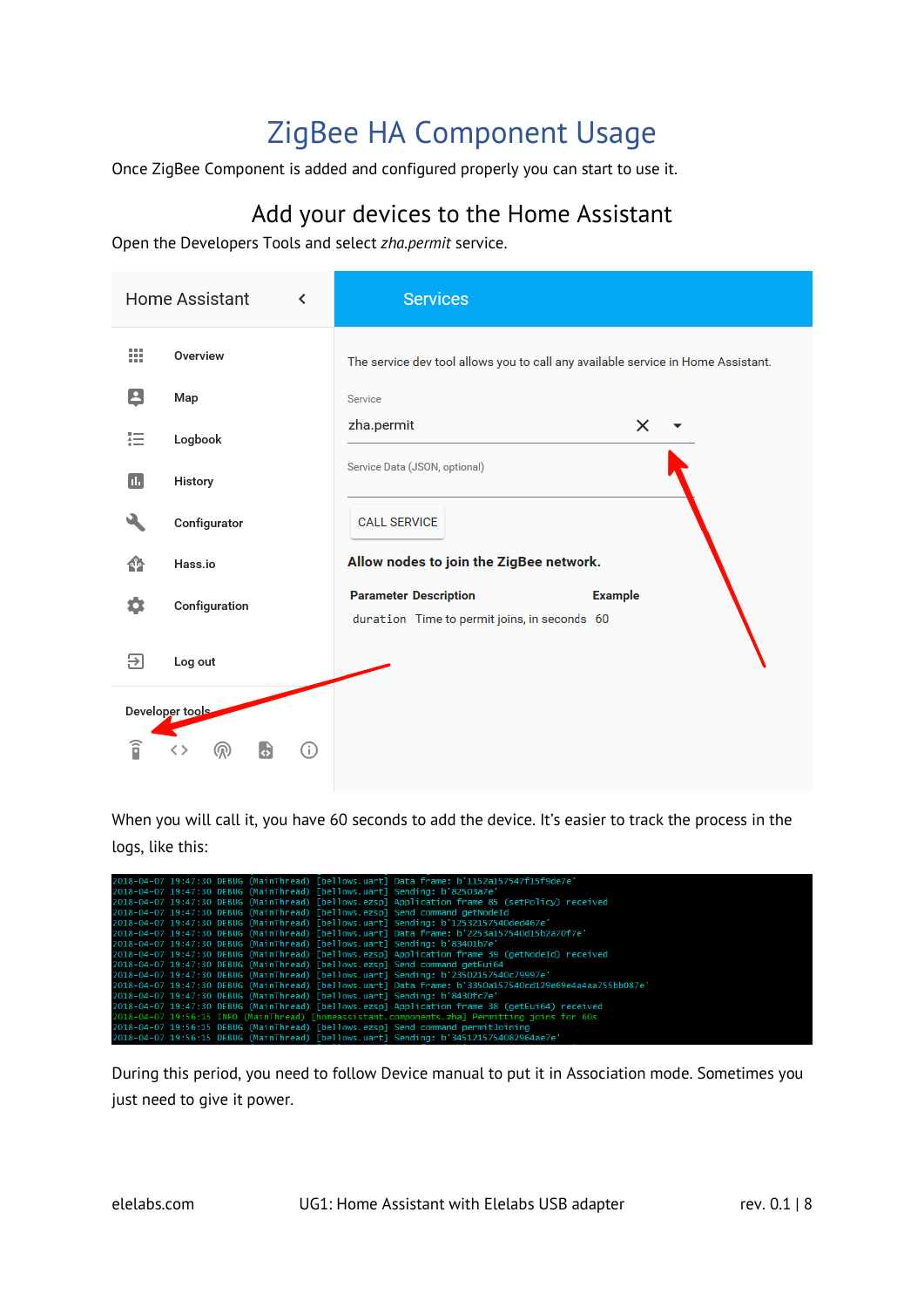### ZigBee HA Component Usage

<span id="page-7-0"></span>Once ZigBee Component is added and configured properly you can start to use it.

### Add your devices to the Home Assistant

<span id="page-7-1"></span>Open the Developers Tools and select *zha.permit* service.

|    | Home Assistant<br>≺ | <b>Services</b>                                                                                |
|----|---------------------|------------------------------------------------------------------------------------------------|
| 排  | Overview            | The service dev tool allows you to call any available service in Home Assistant.               |
| 8  | Map                 | Service                                                                                        |
| 挂  | Logbook             | zha.permit<br>$\times$                                                                         |
| Ш  | History             | Service Data (JSON, optional)                                                                  |
|    | Configurator        | <b>CALL SERVICE</b>                                                                            |
| 49 | Hass.io             | Allow nodes to join the ZigBee network.                                                        |
| ۰  | Configuration       | <b>Parameter Description</b><br><b>Example</b><br>duration Time to permit joins, in seconds 60 |
| ₽  | Log out             |                                                                                                |
|    | Developer tools     |                                                                                                |
| î  | G<br>⊙<br>൫         |                                                                                                |

When you will call it, you have 60 seconds to add the device. It's easier to track the process in the logs, like this:

|  |  | 2018-04-07 19:47:30 DEBUG (MainThread) [bellows.uart] Data frame: b'1152a157547f15f9de7e'               |
|--|--|---------------------------------------------------------------------------------------------------------|
|  |  | 2018-04-07 19:47:30 DEBUG (MainThread) [bellows.uart] Sending: b'82503a7e'                              |
|  |  | 2018-04-07 19:47:30 DEBUG (MainThread) [bellows.ezspl Application frame 85 (setPolicy) received         |
|  |  | 2018-04-07 19:47:30 DEBUG (MainThread) [bellows.ezsp] Send command getNodeId                            |
|  |  | 2018-04-07 19:47:30 DEBUG (MainThread) [bellows.uart] Sending: b'12532157540ded467e'                    |
|  |  | 2018-04-07 19:47:30 DEBUG (MainThread) [bellows.uart] Data frame: b'2253a157540d15b2a70f7e'             |
|  |  | 2018-04-07 19:47:30 DEBUG (MainThread) [bellows.uart] Sending: b'83401b7e'                              |
|  |  | 2018-04-07 19:47:30 DEBUG (MainThread) [bellows.ezsp] Application frame 39 (getNodeId) received         |
|  |  | 2018-04-07 19:47:30 DEBUG (MainThread) [bellows.ezsp] Send command getEui64                             |
|  |  | 2018-04-07 19:47:30 DEBUG (MainThread) [bellows.uart] Sending: b'23502157540c79997e'                    |
|  |  | 2018-04-07 19:47:30 DEBUG (MainThread) [bellows.uart] Data frame: b'3350a157540cd129e69e4a4aa755bb087e' |
|  |  | 2018-04-07 19:47:30 DEBUG (MainThread) [bellows.uart] Sending: b'8430fc7e'                              |
|  |  | 2018-04-07 19:47:30 DEBUG (MainThread) [bellows.ezsp] Application frame 38 (getEui64) received          |
|  |  | 2018-04-07 19:56:15 INFO (MainThread) [homeassistant.components.zha] Permitting joins for 60s           |
|  |  | 2018-04-07 19:56:15 DEBUG (MainThread) [bellows.ezsp] Send command permitJoining                        |
|  |  | 2018-04-07 19:56:15 DEBUG (MainThread) [bellows.uart] Sending: b'3451215754082964ae7e'                  |

During this period, you need to follow Device manual to put it in Association mode. Sometimes you just need to give it power.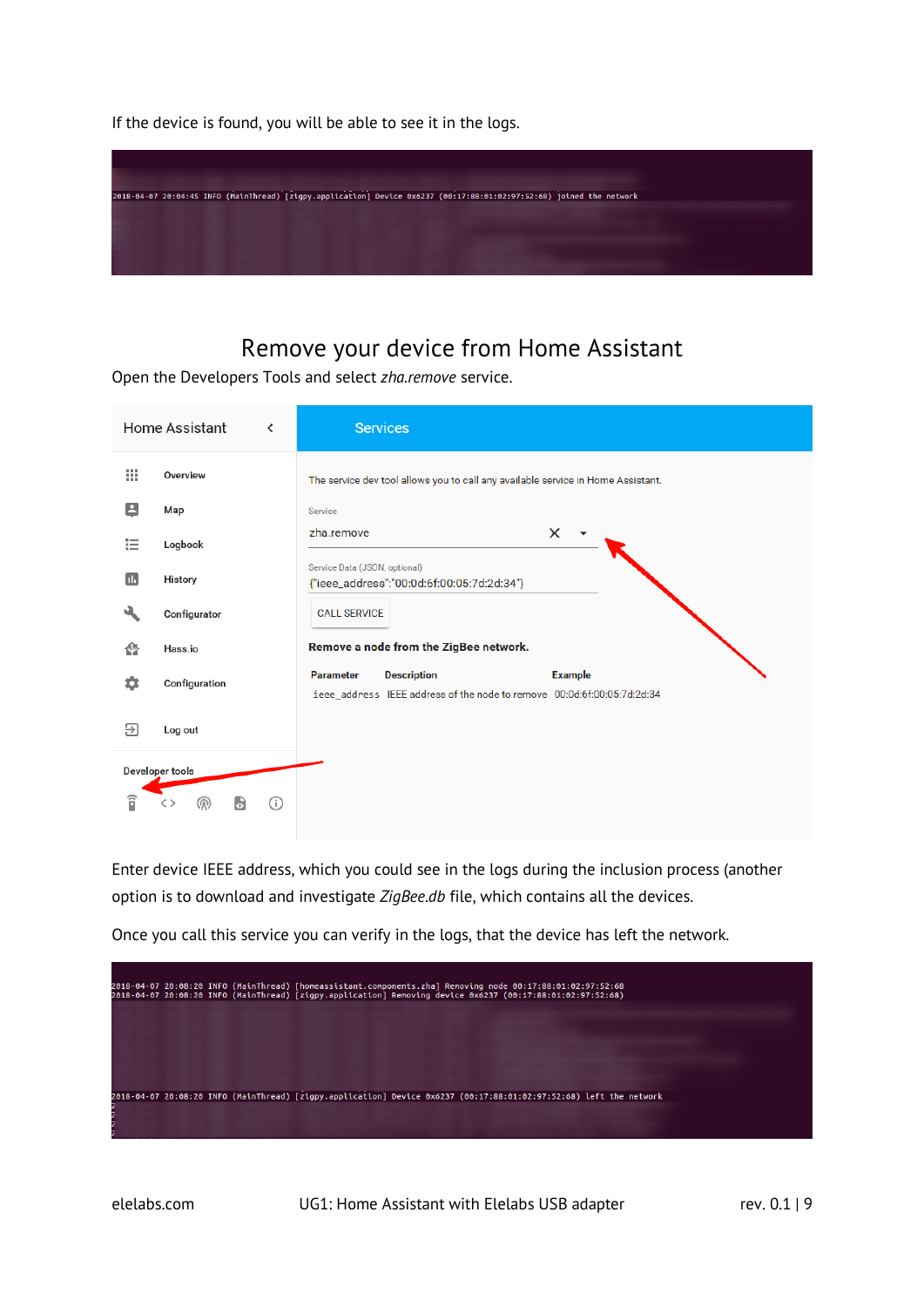If the device is found, you will be able to see it in the logs.



### Remove your device from Home Assistant

<span id="page-8-0"></span>Open the Developers Tools and select *zha.remove* service.

|                        | Home Assistant<br>≺            | <b>Services</b>                                                                                                                     |
|------------------------|--------------------------------|-------------------------------------------------------------------------------------------------------------------------------------|
| 排                      | Overview                       | The service dev tool allows you to call any available service in Home Assistant.                                                    |
| 8                      | Map                            | Service                                                                                                                             |
| 這                      | Logbook                        | zha.remove<br>$\times$                                                                                                              |
| œ                      | History                        | Service Data (JSON, optional)<br>{"ieee_address":"00:0d:6f:00:05:7d:2d:34"}                                                         |
|                        | Configurator                   | <b>CALL SERVICE</b>                                                                                                                 |
| ⋒                      | Hass.io                        | Remove a node from the ZigBee network.                                                                                              |
| ≎                      | Configuration                  | <b>Description</b><br><b>Example</b><br><b>Parameter</b><br>ieee_address IEEE address of the node to remove 00:0d:6f:00:05:7d:2d:34 |
| 9                      | Log out                        |                                                                                                                                     |
|                        | Developer tools                |                                                                                                                                     |
| $\widehat{\mathsf{n}}$ | (ග)<br>$\overline{G}$<br>( i ) |                                                                                                                                     |
|                        |                                |                                                                                                                                     |

Enter device IEEE address, which you could see in the logs during the inclusion process (another option is to download and investigate *ZigBee.db* file, which contains all the devices.

Once you call this service you can verify in the logs, that the device has left the network.

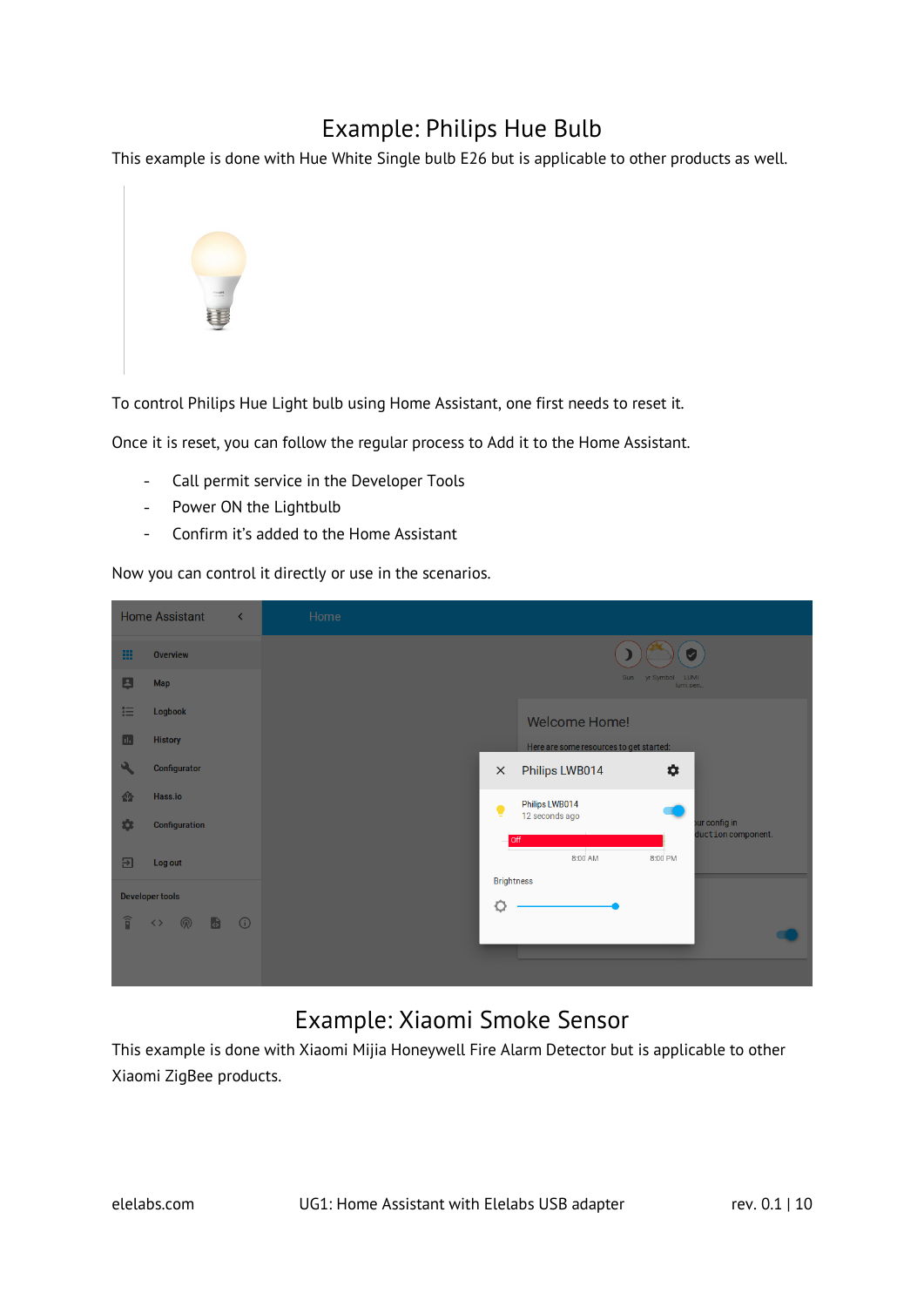### Example: Philips Hue Bulb

<span id="page-9-0"></span>This example is done with Hue White Single bulb E26 but is applicable to other products as well.



To control Philips Hue Light bulb using Home Assistant, one first needs to reset it.

Once it is reset, you can follow the regular process to Add it to the Home Assistant.

- Call permit service in the Developer Tools  $\omega_{\rm{max}}$
- Power ON the Lightbulb  $\sim$
- $\omega_{\rm{eff}}$ Confirm it's added to the Home Assistant

Now you can control it directly or use in the scenarios.

|                        | <b>Home Assistant</b>              | $\left\langle \right\rangle$ | Home |                   |                                         |                                |                                     |
|------------------------|------------------------------------|------------------------------|------|-------------------|-----------------------------------------|--------------------------------|-------------------------------------|
| 皿                      | Overview                           |                              |      |                   |                                         | $[\checkmark]$                 |                                     |
| $\blacksquare$         | <b>Map</b>                         |                              |      |                   |                                         | Sun yr Symbol LUMI<br>lumi.sen |                                     |
| 狂                      | Logbook                            |                              |      |                   | <b>Welcome Home!</b>                    |                                |                                     |
| $\blacksquare$         | <b>History</b>                     |                              |      |                   | Here are some resources to get started: |                                |                                     |
| $\mathbf{a}$           | Configurator                       |                              |      | $\times$          | Philips LWB014                          | ✿                              |                                     |
| 脅                      | Hass.io                            |                              |      | 9                 | Philips LWB014                          |                                |                                     |
| \$                     | Configuration                      |                              |      |                   | 12 seconds ago<br>off                   |                                | our config in<br>duction component. |
| 囝                      | Log out                            |                              |      |                   | 8:00 AM                                 | 8:00 PM                        |                                     |
|                        | <b>Developer tools</b>             |                              |      | <b>Brightness</b> |                                         |                                |                                     |
|                        |                                    |                              |      | Ò                 |                                         |                                |                                     |
| $\widehat{\mathsf{n}}$ | $\bullet$ 0<br>$\langle \ \rangle$ |                              |      |                   |                                         |                                |                                     |
|                        |                                    |                              |      |                   |                                         |                                |                                     |
|                        |                                    |                              |      |                   |                                         |                                |                                     |

### Example: Xiaomi Smoke Sensor

<span id="page-9-1"></span>This example is done with Xiaomi Mijia Honeywell Fire Alarm Detector but is applicable to other Xiaomi ZigBee products.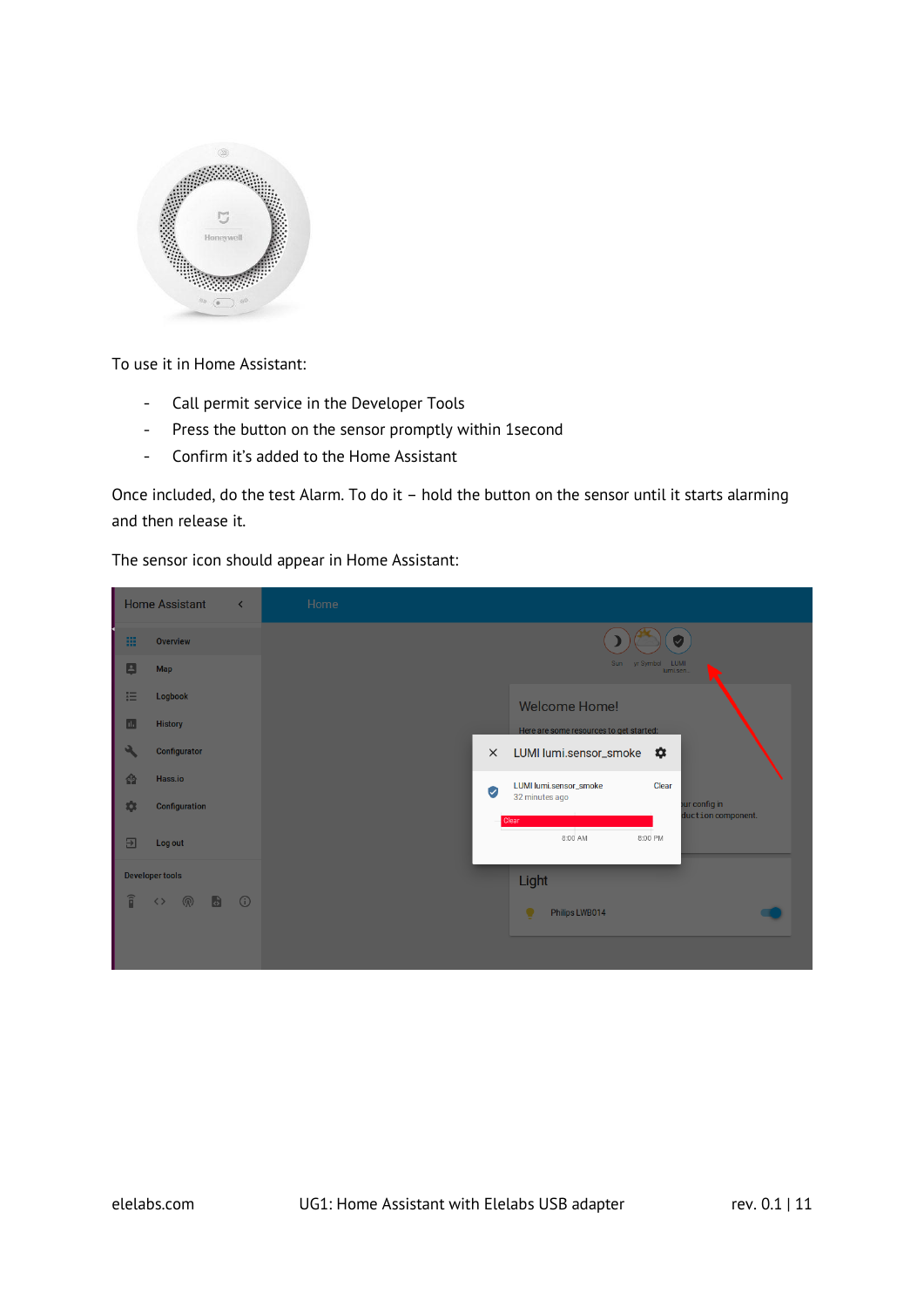

To use it in Home Assistant:

- Call permit service in the Developer Tools  $\omega$  .
- Press the button on the sensor promptly within 1second  $\omega_{\rm{max}}$
- Confirm it's added to the Home Assistant  $\equiv$

Once included, do the test Alarm. To do it – hold the button on the sensor until it starts alarming and then release it.

The sensor icon should appear in Home Assistant:

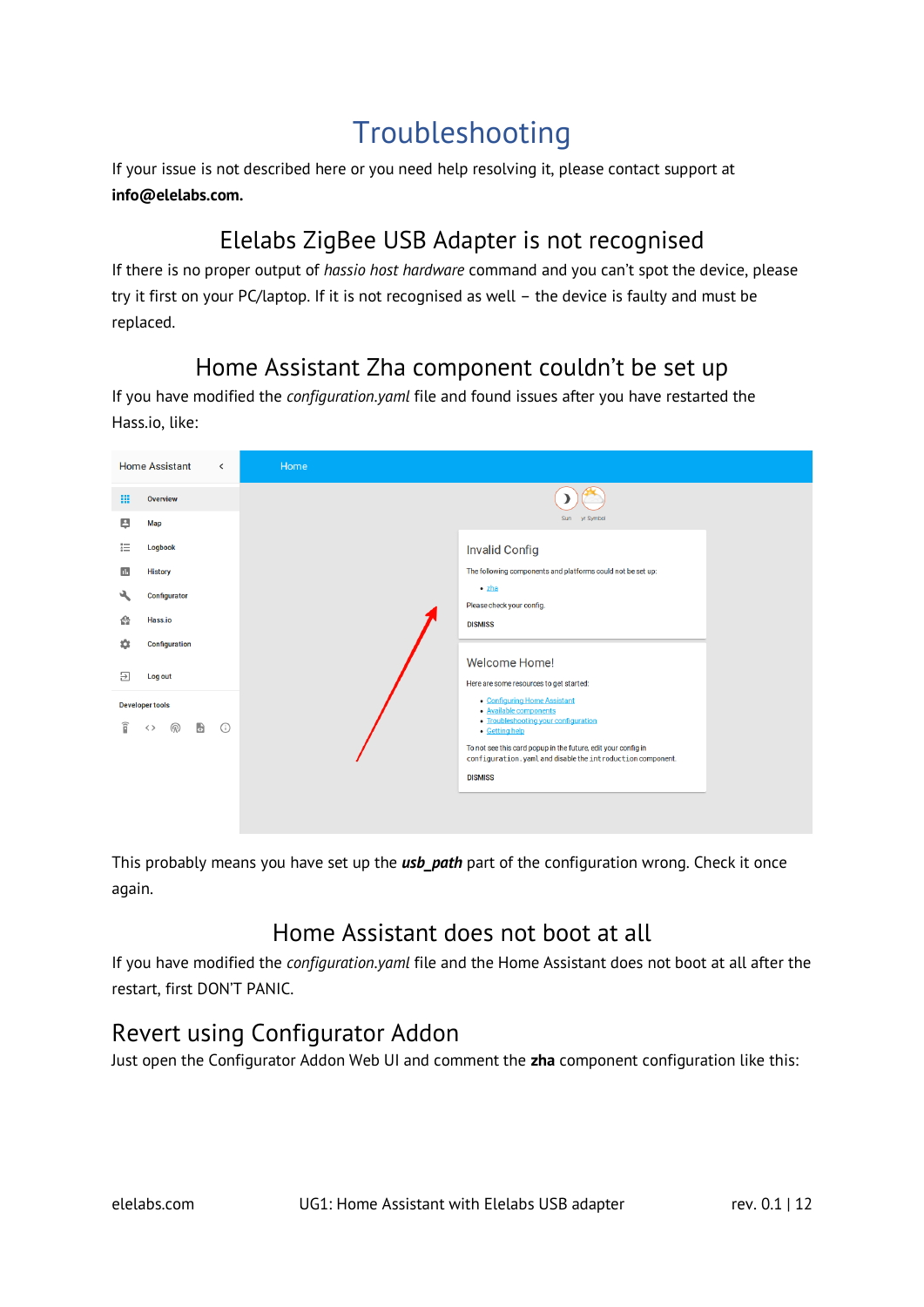### Troubleshooting

<span id="page-11-0"></span>If your issue is not described here or you need help resolving it, please contact support at **info@elelabs.com.**

### Elelabs ZigBee USB Adapter is not recognised

<span id="page-11-1"></span>If there is no proper output of *hassio host hardware* command and you can't spot the device, please try it first on your PC/laptop. If it is not recognised as well – the device is faulty and must be replaced.

### Home Assistant Zha component couldn't be set up

<span id="page-11-2"></span>If you have modified the *configuration.yaml* file and found issues after you have restarted the Hass.io, like:

| <b>Home Assistant</b>                               | $\overline{\phantom{a}}$ | Home                                                                            |
|-----------------------------------------------------|--------------------------|---------------------------------------------------------------------------------|
| 噩<br><b>Overview</b>                                |                          |                                                                                 |
| Β<br><b>Map</b>                                     |                          | Sun yr Symbol                                                                   |
| 拒<br><b>Logbook</b>                                 |                          | <b>Invalid Config</b>                                                           |
| Ш<br><b>History</b>                                 |                          | The following components and platforms could not be set up:                     |
| હ્ય<br>Configurator                                 |                          | $\bullet$ zha<br>Please check your config.                                      |
| Hass.io<br>⋒                                        |                          | <b>DISMISS</b>                                                                  |
| Configuration<br>o                                  |                          |                                                                                 |
| Э<br>Log out                                        |                          | <b>Welcome Home!</b>                                                            |
|                                                     |                          | Here are some resources to get started:<br>• Configuring Home Assistant         |
| <b>Developer tools</b><br>î<br>$\bullet$<br>இ<br>くゝ | $\odot$                  | · Available components<br>• Troubleshooting your configuration                  |
|                                                     |                          | • Getting help<br>To not see this card popup in the future, edit your config in |
|                                                     |                          | configuration.yaml and disable the introduction component.                      |
|                                                     |                          | <b>DISMISS</b>                                                                  |
|                                                     |                          |                                                                                 |
|                                                     |                          |                                                                                 |

This probably means you have set up the *usb\_path* part of the configuration wrong. Check it once again.

### Home Assistant does not boot at all

<span id="page-11-3"></span>If you have modified the *configuration.yaml* file and the Home Assistant does not boot at all after the restart, first DON'T PANIC.

### <span id="page-11-4"></span>Revert using Configurator Addon

Just open the Configurator Addon Web UI and comment the **zha** component configuration like this: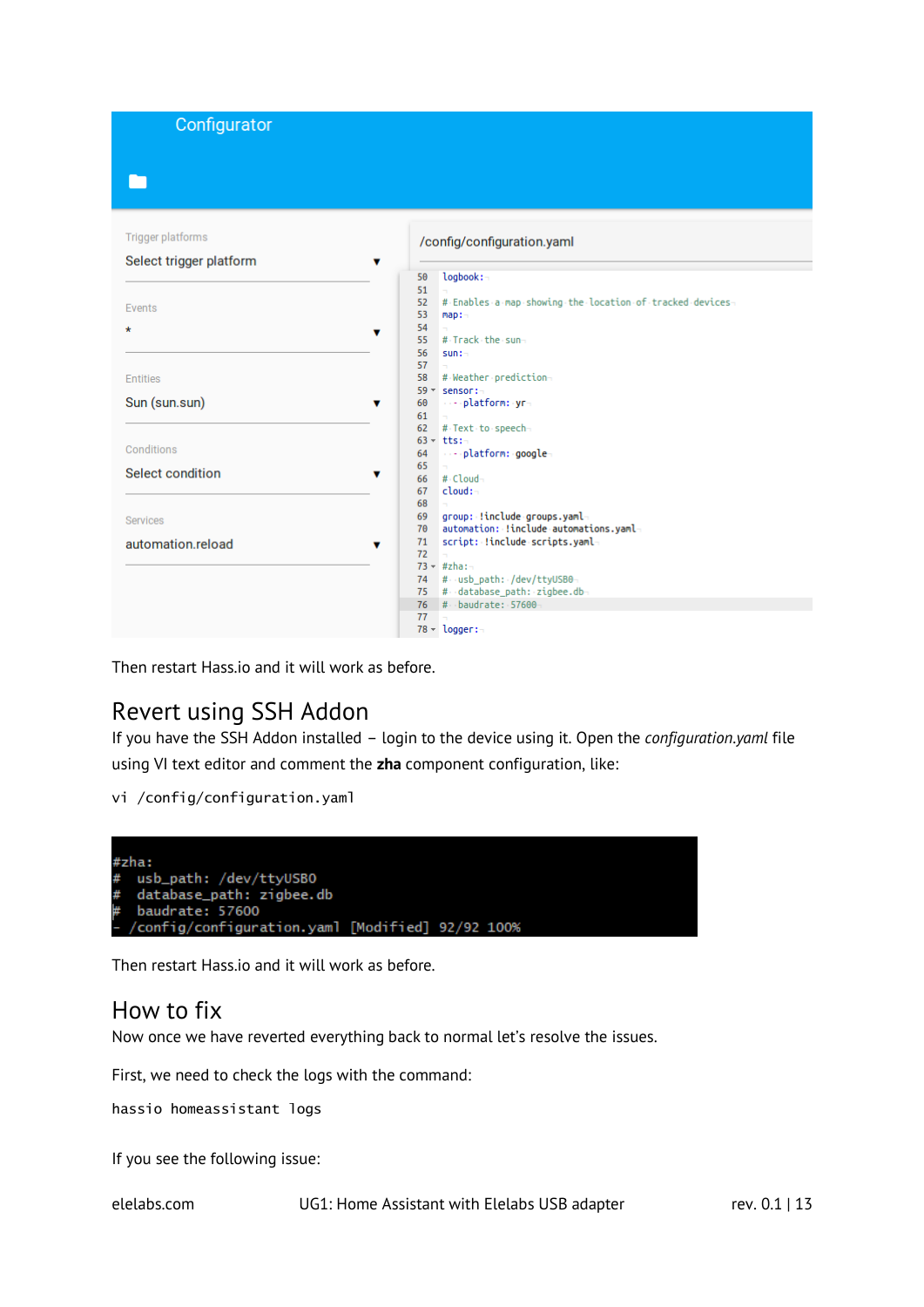Configurator

#### Trigger platforms

| /config/configuration.yaml |  |
|----------------------------|--|
|                            |  |

| Select trigger platform |                                                                |
|-------------------------|----------------------------------------------------------------|
|                         | logbook:~<br>50                                                |
|                         | 51                                                             |
| Events                  | # Enables a map showing the location of tracked devices-<br>52 |
|                         | 53<br>map:                                                     |
| $\star$                 | 54<br>v                                                        |
|                         | # Track the sun-<br>55                                         |
|                         | 56<br>sum:                                                     |
|                         | 57                                                             |
| <b>Entities</b>         | 58<br># Weather prediction-                                    |
|                         | $59 -$<br>sensor:-                                             |
| Sun (sun.sun)           | …- platform: yr-<br>60<br>▼                                    |
|                         | 61                                                             |
|                         | 62<br># Text to speech-                                        |
| Conditions              | $63 - tts:-$                                                   |
|                         | ----platform: google-<br>64                                    |
| Select condition        | 65<br>▼<br>#-Cloud-                                            |
|                         | 66<br>cloud:-                                                  |
|                         | 67<br>68                                                       |
|                         | group: !include groups.yaml-<br>69                             |
| Services                | automation: !include automations.yaml-<br>$70^{\circ}$         |
|                         | script: !include scripts.yaml-<br>71                           |
| automation.reload       | ▼<br>72                                                        |
|                         | $73 - #zha:-$                                                  |
|                         | # usb_path: /dev/ttyUSB0-<br>74                                |
|                         | # database_path: zigbee.db-<br>75                              |
|                         | # baudrate: 57600<br>76                                        |
|                         | 77                                                             |
|                         | $78 - \text{logger}$ :                                         |
|                         |                                                                |

Then restart Hass.io and it will work as before.

#### <span id="page-12-0"></span>Revert using SSH Addon

If you have the SSH Addon installed – login to the device using it. Open the *configuration.yaml* file using VI text editor and comment the **zha** component configuration, like:

```
vi /config/configuration.yaml
```


Then restart Hass.io and it will work as before.

#### <span id="page-12-1"></span>How to fix

Now once we have reverted everything back to normal let's resolve the issues.

First, we need to check the logs with the command:

hassio homeassistant logs

If you see the following issue:

elelabs.com UG1: Home Assistant with Elelabs USB adapter rev. 0.1 | 13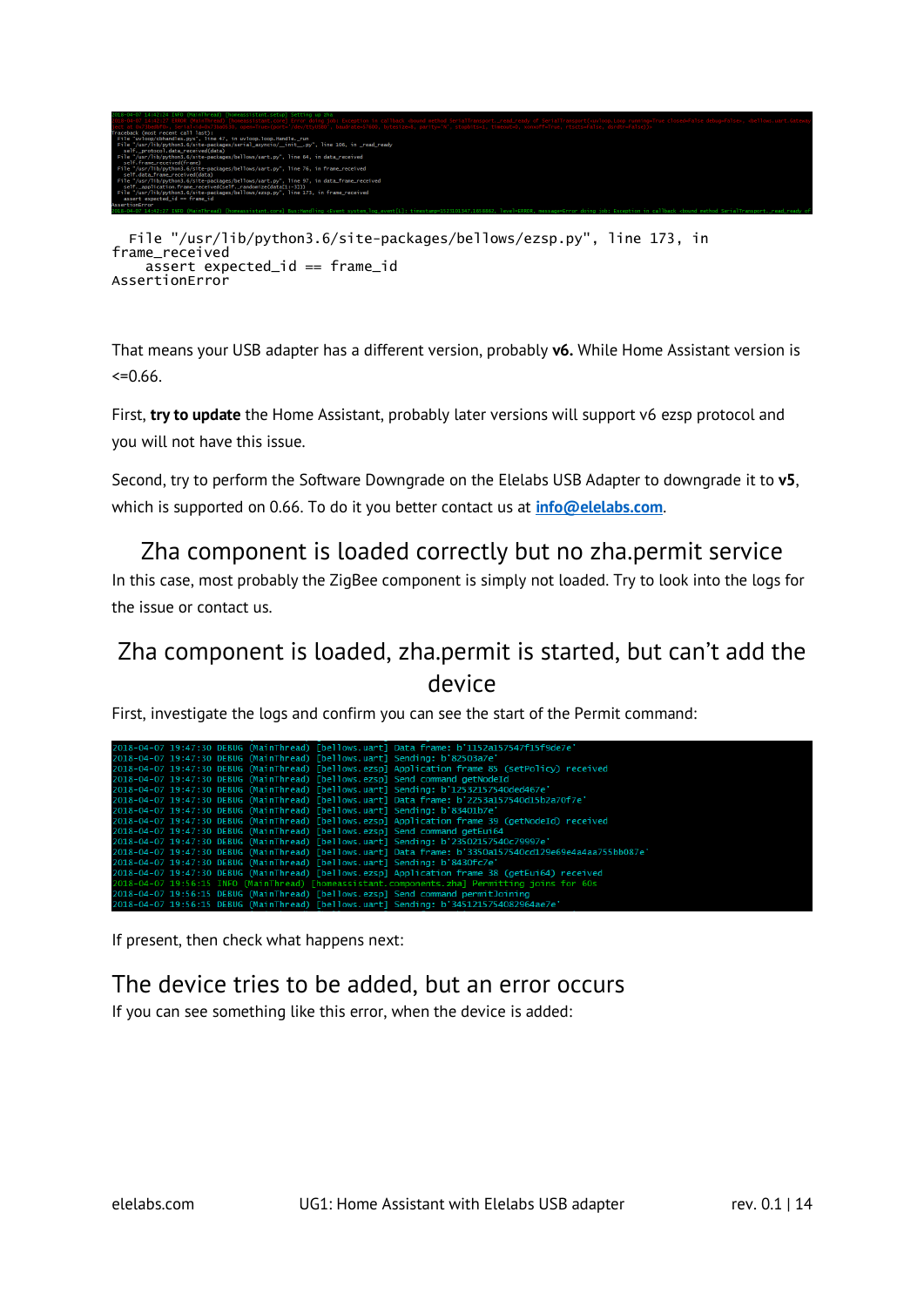

```
frame_received
     assert expected_id == frame_id
AssertionError
```
#### <span id="page-13-0"></span>Zha component is loaded correctly but no zha.permit service

### <span id="page-13-1"></span>Zha component is loaded, zha.permit is started, but can't add the device

| frame_received<br>AssertionError                                                                                                                                                                                                                                                                                                                                                                                                                                                                                     | File "/usr/lib/python3.6/site-packages/bellows/ezsp.py", line 173, in<br>assert expected_id == frame_id                                                                                                                                                                                                                                                                                                                                                                                                                                                                                                                                                                                                                                                                                                                                                                                            |               |
|----------------------------------------------------------------------------------------------------------------------------------------------------------------------------------------------------------------------------------------------------------------------------------------------------------------------------------------------------------------------------------------------------------------------------------------------------------------------------------------------------------------------|----------------------------------------------------------------------------------------------------------------------------------------------------------------------------------------------------------------------------------------------------------------------------------------------------------------------------------------------------------------------------------------------------------------------------------------------------------------------------------------------------------------------------------------------------------------------------------------------------------------------------------------------------------------------------------------------------------------------------------------------------------------------------------------------------------------------------------------------------------------------------------------------------|---------------|
| $<=0.66$ .                                                                                                                                                                                                                                                                                                                                                                                                                                                                                                           | That means your USB adapter has a different version, probably v6. While Home Assistant version is                                                                                                                                                                                                                                                                                                                                                                                                                                                                                                                                                                                                                                                                                                                                                                                                  |               |
| you will not have this issue.                                                                                                                                                                                                                                                                                                                                                                                                                                                                                        | First, try to update the Home Assistant, probably later versions will support v6 ezsp protocol and                                                                                                                                                                                                                                                                                                                                                                                                                                                                                                                                                                                                                                                                                                                                                                                                 |               |
|                                                                                                                                                                                                                                                                                                                                                                                                                                                                                                                      | Second, try to perform the Software Downgrade on the Elelabs USB Adapter to downgrade it to v5,<br>which is supported on 0.66. To do it you better contact us at <b>info@elelabs.com</b> .                                                                                                                                                                                                                                                                                                                                                                                                                                                                                                                                                                                                                                                                                                         |               |
| the issue or contact us.                                                                                                                                                                                                                                                                                                                                                                                                                                                                                             | Zha component is loaded correctly but no zha.permit service<br>In this case, most probably the ZigBee component is simply not loaded. Try to look into the logs for                                                                                                                                                                                                                                                                                                                                                                                                                                                                                                                                                                                                                                                                                                                                |               |
|                                                                                                                                                                                                                                                                                                                                                                                                                                                                                                                      | Zha component is loaded, zha.permit is started, but can't add the<br>device<br>First, investigate the logs and confirm you can see the start of the Permit command:                                                                                                                                                                                                                                                                                                                                                                                                                                                                                                                                                                                                                                                                                                                                |               |
| 2018-04-07 19:47:30 DEBUG (MainThread)                                                                                                                                                                                                                                                                                                                                                                                                                                                                               | [bellows.uart] Data frame: b'1152a157547f15f9de7e]                                                                                                                                                                                                                                                                                                                                                                                                                                                                                                                                                                                                                                                                                                                                                                                                                                                 |               |
| 2018-04-07 19:47:30 DEBUG (MainThread)<br>2018-04-07 19:47:30 DEBUG (MainThread)<br>2018-04-07 19:47:30 DEBUG (MainThread)<br>2018-04-07 19:47:30 DEBUG (MainThread)<br>2018-04-07 19:47:30 DEBUG (MainThread)<br>2018-04-07 19:47:30 DEBUG (MainThread)<br>2018-04-07 19:47:30 DEBUG (MainThread)<br>2018-04-07 19:47:30 DEBUG (MainThread)<br>2018-04-07 19:47:30 DEBUG (MainThread)<br>2018-04-07 19:47:30 DEBUG (MainThread)<br>2018-04-07 19:47:30 DEBUG (MainThread)<br>2018-04-07 19:56:15 DEBUG (MainThread) | [bellows.uart] Sending: b'82503a7e'<br>[bellows.ezsp] Application frame 85 (setPolicy) received<br>[bellows.ezsp] Send command getNodeId<br>[bellows.uart] Sending: b'12532157540ded467e'<br>[bellows.uart] Data frame: b'2253a157540d15b2a70f7e'<br>[bellows.uart] Sending: b'83401b7e'<br>[bellows.ezsp] Application frame 39 (getNodeId) received<br>[bellows.ezsp] Send command getEui64<br>[bellows.uart] Sending: b'23502157540c79997e'<br>[bellows.uart] Data frame: b'3350a157540cd129e69e4a4aa755bb087e'<br>[bellows.uart] Sending: b'8430fc7e'<br>2018-04-07 19:47:30 DEBUG (MainThread) [bellows.ezsp] Application frame 38 (getEui64) received<br>2018-04-07 19:56:15 INFO (MainThread) [homeassistant.components.zha] Permitting joins for 60s<br>2018-04-07 19:56:15 DEBUG (MainThread) [bellows.ezsp] Send command permitJoining<br>[bellows.uart] Sending: b'3451215754082964ae7e' |               |
|                                                                                                                                                                                                                                                                                                                                                                                                                                                                                                                      | If present, then check what happens next:                                                                                                                                                                                                                                                                                                                                                                                                                                                                                                                                                                                                                                                                                                                                                                                                                                                          |               |
|                                                                                                                                                                                                                                                                                                                                                                                                                                                                                                                      | The device tries to be added, but an error occurs<br>If you can see something like this error, when the device is added:                                                                                                                                                                                                                                                                                                                                                                                                                                                                                                                                                                                                                                                                                                                                                                           |               |
|                                                                                                                                                                                                                                                                                                                                                                                                                                                                                                                      |                                                                                                                                                                                                                                                                                                                                                                                                                                                                                                                                                                                                                                                                                                                                                                                                                                                                                                    |               |
| elelabs.com                                                                                                                                                                                                                                                                                                                                                                                                                                                                                                          | UG1: Home Assistant with Elelabs USB adapter                                                                                                                                                                                                                                                                                                                                                                                                                                                                                                                                                                                                                                                                                                                                                                                                                                                       | rev. 0.1   14 |

#### <span id="page-13-2"></span>The device tries to be added, but an error occurs